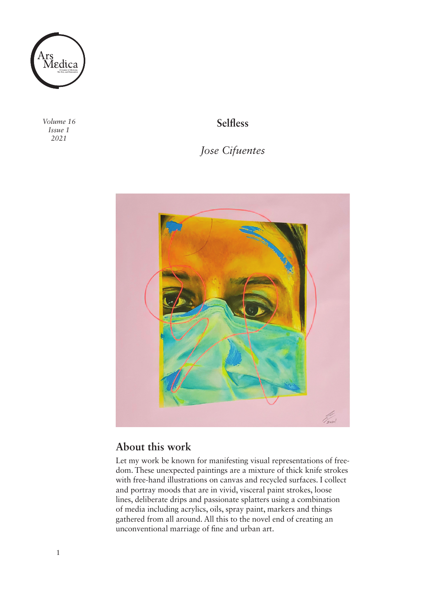

*Volume 16 Issue 1 2021*

**Selfless** 

*Jose Cifuentes* 



## **About this work**

Let my work be known for manifesting visual representations of freedom. These unexpected paintings are a mixture of thick knife strokes with free-hand illustrations on canvas and recycled surfaces. I collect and portray moods that are in vivid, visceral paint strokes, loose lines, deliberate drips and passionate splatters using a combination of media including acrylics, oils, spray paint, markers and things gathered from all around. All this to the novel end of creating an unconventional marriage of fine and urban art.